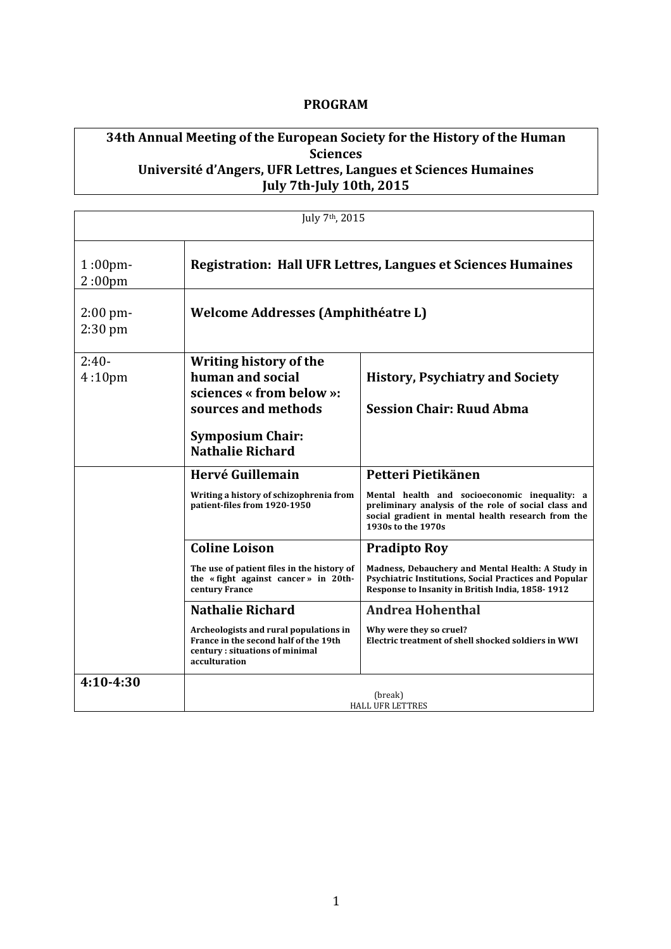## **PROGRAM**

# **34th Annual Meeting of the European Society for the History of the Human Sciences** Université d'Angers, UFR Lettres, Langues et Sciences Humaines **July 7th-July 10th, 2015**

| July 7 <sup>th</sup> , 2015      |                                                                                                                                                     |                                                                                                                                                                                   |
|----------------------------------|-----------------------------------------------------------------------------------------------------------------------------------------------------|-----------------------------------------------------------------------------------------------------------------------------------------------------------------------------------|
| $1:00$ pm-<br>2:00 <sub>pm</sub> | <b>Registration: Hall UFR Lettres, Langues et Sciences Humaines</b>                                                                                 |                                                                                                                                                                                   |
| $2:00 \text{ pm}$<br>$2:30$ pm   | <b>Welcome Addresses (Amphithéatre L)</b>                                                                                                           |                                                                                                                                                                                   |
| $2:40-$<br>4:10 <sub>pm</sub>    | Writing history of the<br>human and social<br>sciences « from below »:<br>sources and methods<br><b>Symposium Chair:</b><br><b>Nathalie Richard</b> | <b>History, Psychiatry and Society</b><br><b>Session Chair: Ruud Abma</b>                                                                                                         |
|                                  | Hervé Guillemain                                                                                                                                    | Petteri Pietikänen                                                                                                                                                                |
|                                  | Writing a history of schizophrenia from<br>patient-files from 1920-1950                                                                             | Mental health and socioeconomic inequality: a<br>preliminary analysis of the role of social class and<br>social gradient in mental health research from the<br>1930s to the 1970s |
|                                  | <b>Coline Loison</b>                                                                                                                                | <b>Pradipto Roy</b>                                                                                                                                                               |
|                                  | The use of patient files in the history of<br>the «fight against cancer» in 20th-<br>century France                                                 | Madness, Debauchery and Mental Health: A Study in<br>Psychiatric Institutions, Social Practices and Popular<br>Response to Insanity in British India, 1858-1912                   |
|                                  | <b>Nathalie Richard</b>                                                                                                                             | <b>Andrea Hohenthal</b>                                                                                                                                                           |
|                                  | Archeologists and rural populations in<br>France in the second half of the 19th<br>century: situations of minimal<br>acculturation                  | Why were they so cruel?<br>Electric treatment of shell shocked soldiers in WWI                                                                                                    |
| $4:10-4:30$                      |                                                                                                                                                     | (break)                                                                                                                                                                           |
|                                  | <b>HALL UFR LETTRES</b>                                                                                                                             |                                                                                                                                                                                   |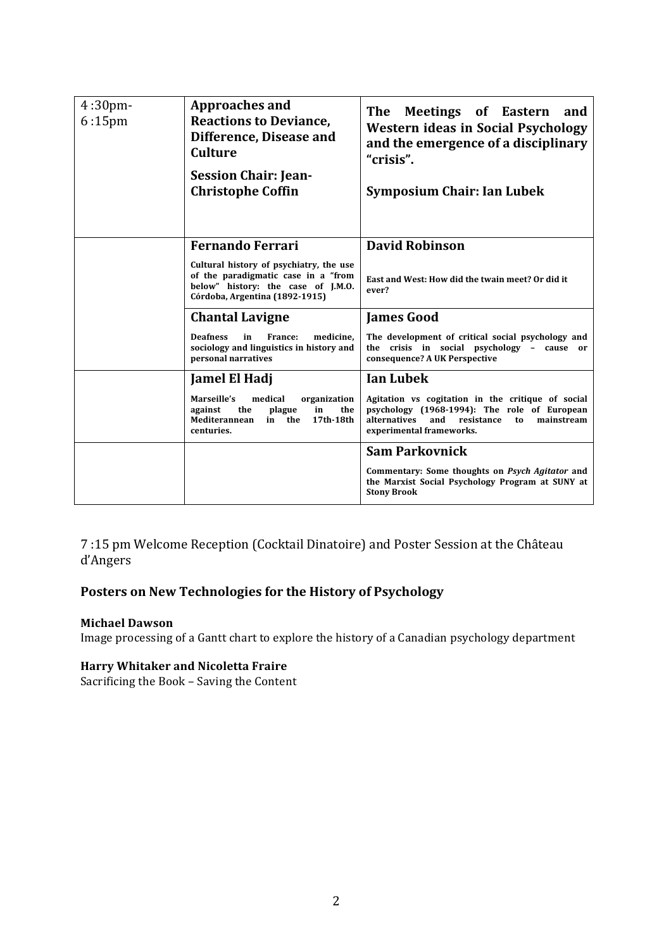| $4:30$ pm-<br>$6:15$ pm | <b>Approaches and</b><br><b>Reactions to Deviance,</b><br>Difference, Disease and<br><b>Culture</b><br><b>Session Chair: Jean-</b><br><b>Christophe Coffin</b> | The<br>Meetings of Eastern<br>and<br><b>Western ideas in Social Psychology</b><br>and the emergence of a disciplinary<br>"crisis".<br><b>Symposium Chair: Ian Lubek</b>                |
|-------------------------|----------------------------------------------------------------------------------------------------------------------------------------------------------------|----------------------------------------------------------------------------------------------------------------------------------------------------------------------------------------|
|                         |                                                                                                                                                                |                                                                                                                                                                                        |
|                         | <b>Fernando Ferrari</b>                                                                                                                                        | <b>David Robinson</b>                                                                                                                                                                  |
|                         | Cultural history of psychiatry, the use<br>of the paradigmatic case in a "from<br>below" history: the case of J.M.O.<br>Córdoba, Argentina (1892-1915)         | East and West: How did the twain meet? Or did it<br>ever?                                                                                                                              |
|                         | <b>Chantal Lavigne</b>                                                                                                                                         | <b>James Good</b>                                                                                                                                                                      |
|                         | <b>Deafness</b><br>in<br>France:<br>medicine.<br>sociology and linguistics in history and<br>personal narratives                                               | The development of critical social psychology and<br>the crisis in social psychology - cause or<br>consequence? A UK Perspective                                                       |
|                         | Jamel El Hadj                                                                                                                                                  | <b>Ian Lubek</b>                                                                                                                                                                       |
|                         | Marseille's<br>medical<br>organization<br>the<br>against<br>plague<br>in<br>the<br>17th-18th<br>Mediterannean<br>the<br>in<br>centuries.                       | Agitation vs cogitation in the critique of social<br>psychology (1968-1994): The role of European<br>alternatives<br>and<br>resistance<br>mainstream<br>to<br>experimental frameworks. |
|                         |                                                                                                                                                                | <b>Sam Parkovnick</b>                                                                                                                                                                  |
|                         |                                                                                                                                                                | Commentary: Some thoughts on Psych Agitator and<br>the Marxist Social Psychology Program at SUNY at<br><b>Stony Brook</b>                                                              |

7:15 pm Welcome Reception (Cocktail Dinatoire) and Poster Session at the Château d'Angers

# Posters on New Technologies for the History of Psychology

#### **Michael Dawson**

Image processing of a Gantt chart to explore the history of a Canadian psychology department

### **Harry Whitaker and Nicoletta Fraire**

Sacrificing the Book - Saving the Content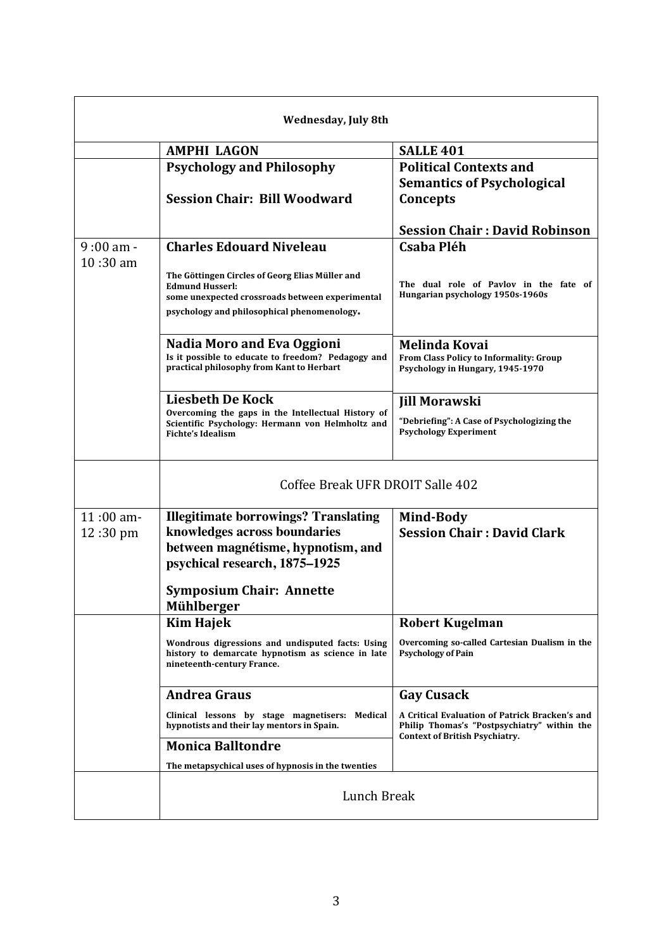|             | Wednesday, July 8th                                                                                                                                                         |                                                                                                                                        |
|-------------|-----------------------------------------------------------------------------------------------------------------------------------------------------------------------------|----------------------------------------------------------------------------------------------------------------------------------------|
|             | <b>AMPHI LAGON</b>                                                                                                                                                          | <b>SALLE 401</b>                                                                                                                       |
|             | <b>Psychology and Philosophy</b><br><b>Session Chair: Bill Woodward</b>                                                                                                     | <b>Political Contexts and</b><br><b>Semantics of Psychological</b><br>Concepts                                                         |
|             |                                                                                                                                                                             | <b>Session Chair: David Robinson</b>                                                                                                   |
| $9:00$ am - | <b>Charles Edouard Niveleau</b>                                                                                                                                             | Csaba Pléh                                                                                                                             |
| $10:30$ am  | The Göttingen Circles of Georg Elias Müller and<br><b>Edmund Husserl:</b><br>some unexpected crossroads between experimental<br>psychology and philosophical phenomenology. | The dual role of Pavlov in the fate of<br>Hungarian psychology 1950s-1960s                                                             |
|             | Nadia Moro and Eva Oggioni<br>Is it possible to educate to freedom? Pedagogy and<br>practical philosophy from Kant to Herbart                                               | <b>Melinda Kovai</b><br>From Class Policy to Informality: Group<br>Psychology in Hungary, 1945-1970                                    |
|             | <b>Liesbeth De Kock</b>                                                                                                                                                     | <b>Jill Morawski</b>                                                                                                                   |
|             | Overcoming the gaps in the Intellectual History of<br>Scientific Psychology: Hermann von Helmholtz and<br><b>Fichte's Idealism</b>                                          | "Debriefing": A Case of Psychologizing the<br><b>Psychology Experiment</b>                                                             |
|             | Coffee Break UFR DROIT Salle 402                                                                                                                                            |                                                                                                                                        |
| $11:00$ am- | <b>Illegitimate borrowings? Translating</b>                                                                                                                                 | Mind-Body                                                                                                                              |
| 12:30 pm    | knowledges across boundaries                                                                                                                                                | <b>Session Chair: David Clark</b>                                                                                                      |
|             | between magnétisme, hypnotism, and<br>psychical research, 1875-1925                                                                                                         |                                                                                                                                        |
|             | <b>Symposium Chair: Annette</b><br>Mühlberger                                                                                                                               |                                                                                                                                        |
|             | <b>Kim Hajek</b>                                                                                                                                                            | <b>Robert Kugelman</b>                                                                                                                 |
|             | Wondrous digressions and undisputed facts: Using<br>history to demarcate hypnotism as science in late<br>nineteenth-century France.                                         | Overcoming so-called Cartesian Dualism in the<br><b>Psychology of Pain</b>                                                             |
|             | <b>Andrea Graus</b>                                                                                                                                                         | <b>Gay Cusack</b>                                                                                                                      |
|             | Clinical lessons by stage magnetisers: Medical<br>hypnotists and their lay mentors in Spain.                                                                                | A Critical Evaluation of Patrick Bracken's and<br>Philip Thomas's "Postpsychiatry" within the<br><b>Context of British Psychiatry.</b> |
|             | <b>Monica Balltondre</b>                                                                                                                                                    |                                                                                                                                        |
|             | The metapsychical uses of hypnosis in the twenties                                                                                                                          |                                                                                                                                        |
|             | Lunch Break                                                                                                                                                                 |                                                                                                                                        |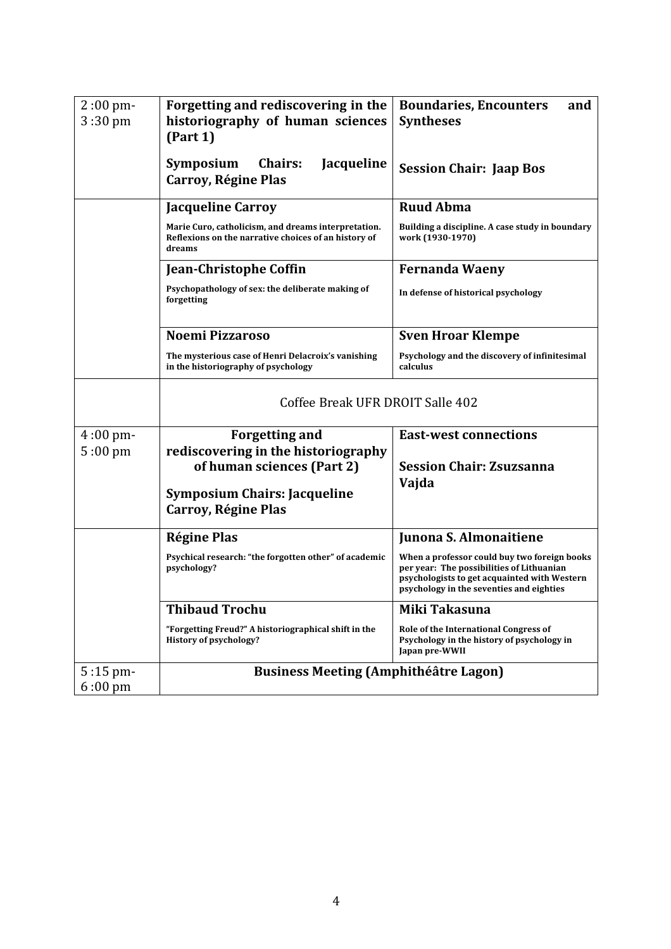| $2:00$ pm-<br>$3:30 \text{ pm}$ | Forgetting and rediscovering in the<br>historiography of human sciences<br>(Part 1)                                   | <b>Boundaries, Encounters</b><br>and<br><b>Syntheses</b>                                                                                                                              |
|---------------------------------|-----------------------------------------------------------------------------------------------------------------------|---------------------------------------------------------------------------------------------------------------------------------------------------------------------------------------|
|                                 | <b>Chairs:</b><br>Symposium<br><b>Jacqueline</b><br>Carroy, Régine Plas                                               | <b>Session Chair: Jaap Bos</b>                                                                                                                                                        |
|                                 | <b>Jacqueline Carroy</b>                                                                                              | <b>Ruud Abma</b>                                                                                                                                                                      |
|                                 | Marie Curo, catholicism, and dreams interpretation.<br>Reflexions on the narrative choices of an history of<br>dreams | Building a discipline. A case study in boundary<br>work (1930-1970)                                                                                                                   |
|                                 | <b>Jean-Christophe Coffin</b>                                                                                         | <b>Fernanda Waeny</b>                                                                                                                                                                 |
|                                 | Psychopathology of sex: the deliberate making of<br>forgetting                                                        | In defense of historical psychology                                                                                                                                                   |
|                                 | <b>Noemi Pizzaroso</b>                                                                                                | <b>Sven Hroar Klempe</b>                                                                                                                                                              |
|                                 | The mysterious case of Henri Delacroix's vanishing<br>in the historiography of psychology                             | Psychology and the discovery of infinitesimal<br>calculus                                                                                                                             |
|                                 | Coffee Break UFR DROIT Salle 402                                                                                      |                                                                                                                                                                                       |
| $4:00$ pm-                      | <b>Forgetting and</b>                                                                                                 | <b>East-west connections</b>                                                                                                                                                          |
| $5:00 \text{ pm}$               | rediscovering in the historiography                                                                                   | <b>Session Chair: Zsuzsanna</b>                                                                                                                                                       |
|                                 | of human sciences (Part 2)                                                                                            | Vajda                                                                                                                                                                                 |
|                                 | <b>Symposium Chairs: Jacqueline</b><br>Carroy, Régine Plas                                                            |                                                                                                                                                                                       |
|                                 | <b>Régine Plas</b>                                                                                                    | Junona S. Almonaitiene                                                                                                                                                                |
|                                 | Psychical research: "the forgotten other" of academic<br>psychology?                                                  | When a professor could buy two foreign books<br>per year: The possibilities of Lithuanian<br>psychologists to get acquainted with Western<br>psychology in the seventies and eighties |
|                                 | <b>Thibaud Trochu</b>                                                                                                 | Miki Takasuna                                                                                                                                                                         |
|                                 | "Forgetting Freud?" A historiographical shift in the<br>History of psychology?                                        | Role of the International Congress of<br>Psychology in the history of psychology in<br>Japan pre-WWII                                                                                 |
| 5:15 pm-<br>$6:00 \text{ pm}$   | <b>Business Meeting (Amphithéâtre Lagon)</b>                                                                          |                                                                                                                                                                                       |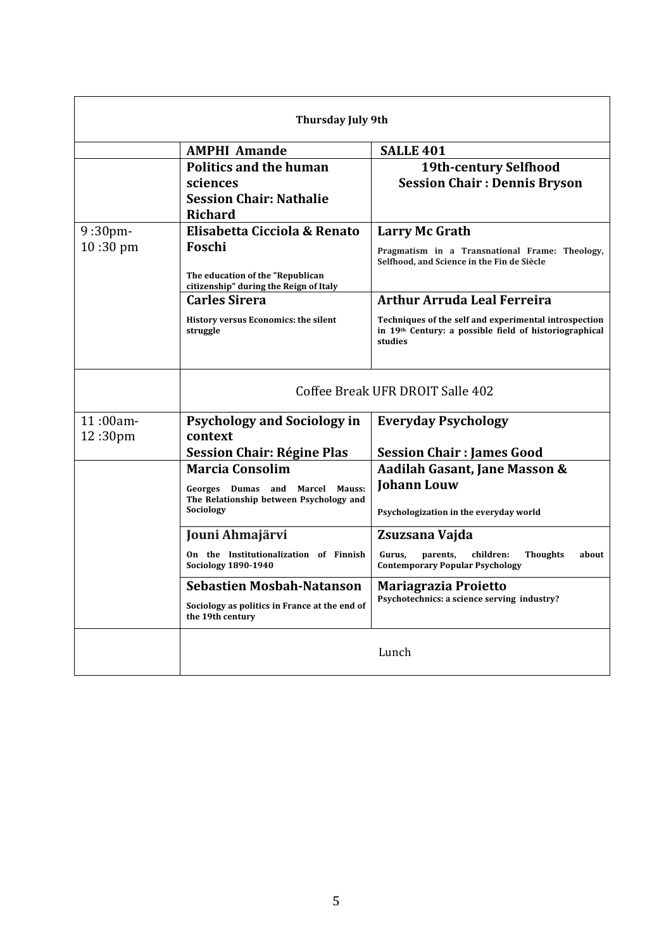| <b>Thursday July 9th</b> |                                                                                         |                                                                                                                            |
|--------------------------|-----------------------------------------------------------------------------------------|----------------------------------------------------------------------------------------------------------------------------|
|                          | <b>AMPHI Amande</b>                                                                     | <b>SALLE 401</b>                                                                                                           |
|                          | <b>Politics and the human</b><br>sciences<br><b>Session Chair: Nathalie</b><br>Richard  | <b>19th-century Selfhood</b><br><b>Session Chair: Dennis Bryson</b>                                                        |
| $9:30$ pm-               | Elisabetta Cicciola & Renato                                                            | Larry Mc Grath                                                                                                             |
| 10:30 pm                 | Foschi                                                                                  | Pragmatism in a Transnational Frame: Theology,<br>Selfhood, and Science in the Fin de Siècle                               |
|                          | The education of the "Republican<br>citizenship" during the Reign of Italy              |                                                                                                                            |
|                          | <b>Carles Sirera</b>                                                                    | <b>Arthur Arruda Leal Ferreira</b>                                                                                         |
|                          | History versus Economics: the silent<br>struggle                                        | Techniques of the self and experimental introspection<br>in 19th Century: a possible field of historiographical<br>studies |
|                          | Coffee Break UFR DROIT Salle 402                                                        |                                                                                                                            |
| 11:00am-                 | <b>Psychology and Sociology in</b>                                                      | <b>Everyday Psychology</b>                                                                                                 |
| 12:30pm                  | context                                                                                 | <b>Session Chair: James Good</b>                                                                                           |
|                          | <b>Session Chair: Régine Plas</b><br><b>Marcia Consolim</b>                             | Aadilah Gasant, Jane Masson &                                                                                              |
|                          | Georges Dumas and Marcel Mauss:<br>The Relationship between Psychology and<br>Sociology | <b>Johann Louw</b>                                                                                                         |
|                          |                                                                                         | Psychologization in the everyday world                                                                                     |
|                          | Jouni Ahmajärvi                                                                         | Zsuzsana Vajda                                                                                                             |
|                          | On the Institutionalization of Finnish<br><b>Sociology 1890-1940</b>                    | <b>Thoughts</b><br>about<br>Gurus.<br>parents,<br>children:<br><b>Contemporary Popular Psychology</b>                      |
|                          | <b>Sebastien Mosbah-Natanson</b>                                                        | <b>Mariagrazia Proietto</b>                                                                                                |
|                          | Sociology as politics in France at the end of<br>the 19th century                       | Psychotechnics: a science serving industry?                                                                                |
|                          |                                                                                         | Lunch                                                                                                                      |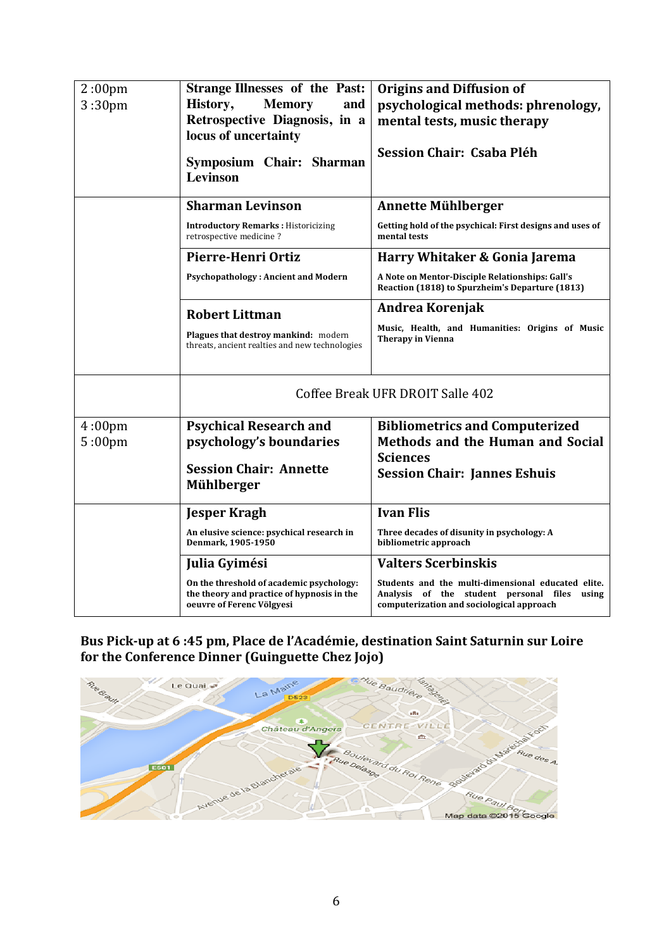| 2:00 <sub>pm</sub><br>3:30 <sub>pm</sub> | <b>Strange Illnesses of the Past:</b><br>History,<br><b>Memory</b><br>and<br>Retrospective Diagnosis, in a<br>locus of uncertainty<br>Symposium Chair: Sharman<br><b>Levinson</b> | <b>Origins and Diffusion of</b><br>psychological methods: phrenology,<br>mental tests, music therapy<br>Session Chair: Csaba Pléh               |
|------------------------------------------|-----------------------------------------------------------------------------------------------------------------------------------------------------------------------------------|-------------------------------------------------------------------------------------------------------------------------------------------------|
|                                          | <b>Sharman Levinson</b>                                                                                                                                                           | Annette Mühlberger                                                                                                                              |
|                                          | <b>Introductory Remarks: Historicizing</b><br>retrospective medicine?                                                                                                             | Getting hold of the psychical: First designs and uses of<br>mental tests                                                                        |
|                                          | Pierre-Henri Ortiz                                                                                                                                                                | Harry Whitaker & Gonia Jarema                                                                                                                   |
|                                          | <b>Psychopathology: Ancient and Modern</b>                                                                                                                                        | A Note on Mentor-Disciple Relationships: Gall's<br>Reaction (1818) to Spurzheim's Departure (1813)                                              |
|                                          | <b>Robert Littman</b><br>Plagues that destroy mankind: modern<br>threats, ancient realties and new technologies                                                                   | Andrea Korenjak<br>Music, Health, and Humanities: Origins of Music<br><b>Therapy in Vienna</b>                                                  |
|                                          | Coffee Break UFR DROIT Salle 402                                                                                                                                                  |                                                                                                                                                 |
| 4:00 <sub>pm</sub>                       | <b>Psychical Research and</b>                                                                                                                                                     | <b>Bibliometrics and Computerized</b>                                                                                                           |
| 5:00 <sub>pm</sub>                       | psychology's boundaries                                                                                                                                                           | Methods and the Human and Social<br><b>Sciences</b>                                                                                             |
|                                          | <b>Session Chair: Annette</b><br><b>Mühlberger</b>                                                                                                                                | <b>Session Chair: Jannes Eshuis</b>                                                                                                             |
|                                          | <b>Jesper Kragh</b>                                                                                                                                                               | <b>Ivan Flis</b>                                                                                                                                |
|                                          | An elusive science: psychical research in<br>Denmark, 1905-1950                                                                                                                   | Three decades of disunity in psychology: A<br>bibliometric approach                                                                             |
|                                          | Julia Gyimési                                                                                                                                                                     | <b>Valters Scerbinskis</b>                                                                                                                      |
|                                          | On the threshold of academic psychology:<br>the theory and practice of hypnosis in the<br>oeuvre of Ferenc Völgyesi                                                               | Students and the multi-dimensional educated elite.<br>Analysis of the student personal files using<br>computerization and sociological approach |

# Bus Pick-up at 6 :45 pm, Place de l'Académie, destination Saint Saturnin sur Loire for the Conference Dinner (Guinguette Chez Jojo)